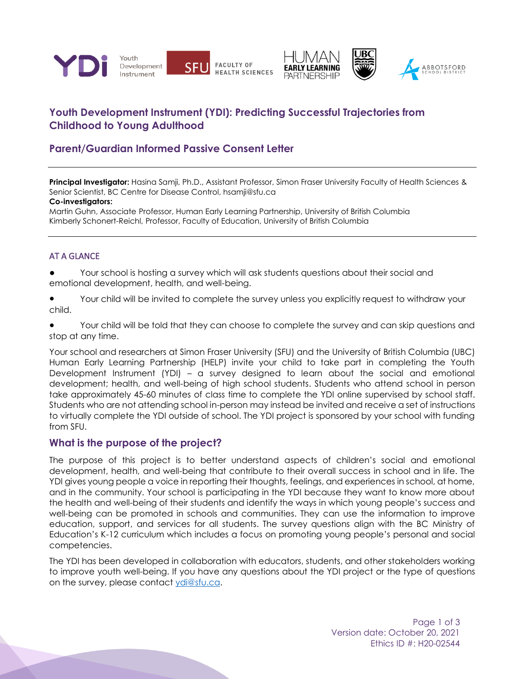



# **Youth Development Instrument (YDI): Predicting Successful Trajectories from Childhood to Young Adulthood**

# **Parent/Guardian Informed Passive Consent Letter**

**Principal Investigator:** Hasina Samji, Ph.D., Assistant Professor, Simon Fraser University Faculty of Health Sciences & Senior Scientist, BC Centre for Disease Control, hsamji@sfu.ca

#### **Co-investigators:**

Martin Guhn, Associate Professor, Human Early Learning Partnership, University of British Columbia Kimberly Schonert-Reichl, Professor, Faculty of Education, University of British Columbia

#### AT A GLANCE

Your school is hosting a survey which will ask students questions about their social and emotional development, health, and well-being.

● Your child will be invited to complete the survey unless you explicitly request to withdraw your child.

● Your child will be told that they can choose to complete the survey and can skip questions and stop at any time.

Your school and researchers at Simon Fraser University (SFU) and the University of British Columbia (UBC) Human Early Learning Partnership (HELP) invite your child to take part in completing the Youth Development Instrument (YDI) – a survey designed to learn about the social and emotional development; health, and well-being of high school students. Students who attend school in person take approximately 45-60 minutes of class time to complete the YDI online supervised by school staff. Students who are not attending school in-person may instead be invited and receive a set of instructions to virtually complete the YDI outside of school. The YDI project is sponsored by your school with funding from SFU.

### **What is the purpose of the project?**

The purpose of this project is to better understand aspects of children's social and emotional development, health, and well-being that contribute to their overall success in school and in life. The YDI gives young people a voice in reporting their thoughts, feelings, and experiences in school, at home, and in the community. Your school is participating in the YDI because they want to know more about the health and well-being of their students and identify the ways in which young people's success and well-being can be promoted in schools and communities. They can use the information to improve education, support, and services for all students. The survey questions align with the BC Ministry of Education's K-12 curriculum which includes a focus on promoting young people's personal and social competencies.

The YDI has been developed in collaboration with educators, students, and other stakeholders working to improve youth well-being. If you have any questions about the YDI project or the type of questions on the survey, please contact [ydi@sfu.ca.](mailto:ydi@sfu.ca)

> Page 1 of 3 Version date: October 20, 2021 Ethics ID #: H20-02544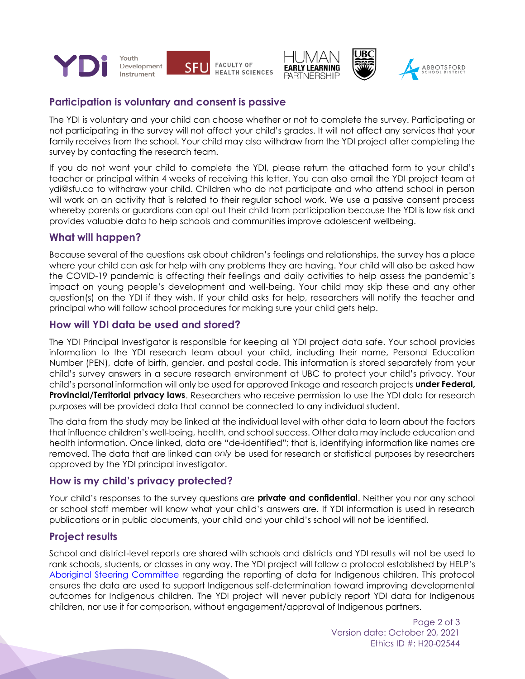





## **Participation is voluntary and consent is passive**

The YDI is voluntary and your child can choose whether or not to complete the survey. Participating or not participating in the survey will not affect your child's grades. It will not affect any services that your family receives from the school. Your child may also withdraw from the YDI project after completing the survey by contacting the research team.

If you do not want your child to complete the YDI, please return the attached form to your child's teacher or principal within 4 weeks of receiving this letter. You can also email the YDI project team at ydi@sfu.ca to withdraw your child. Children who do not participate and who attend school in person will work on an activity that is related to their regular school work. We use a passive consent process whereby parents or guardians can opt out their child from participation because the YDI is low risk and provides valuable data to help schools and communities improve adolescent wellbeing.

### **What will happen?**

Because several of the questions ask about children's feelings and relationships, the survey has a place where your child can ask for help with any problems they are having. Your child will also be asked how the COVID-19 pandemic is affecting their feelings and daily activities to help assess the pandemic's impact on young people's development and well-being. Your child may skip these and any other question(s) on the YDI if they wish. If your child asks for help, researchers will notify the teacher and principal who will follow school procedures for making sure your child gets help.

### **How will YDI data be used and stored?**

The YDI Principal Investigator is responsible for keeping all YDI project data safe. Your school provides information to the YDI research team about your child, including their name, Personal Education Number (PEN), date of birth, gender, and postal code. This information is stored separately from your child's survey answers in a secure research environment at UBC to protect your child's privacy. Your child's personal information will only be used for approved linkage and research projects **under Federal, Provincial/Territorial privacy laws**. Researchers who receive permission to use the YDI data for research purposes will be provided data that cannot be connected to any individual student.

The data from the study may be linked at the individual level with other data to learn about the factors that influence children's well-being, health, and school success. Other data may include education and health information. Once linked, data are "de-identified"; that is, identifying information like names are removed. The data that are linked can *only* be used for research or statistical purposes by researchers approved by the YDI principal investigator.

### **How is my child's privacy protected?**

Your child's responses to the survey questions are **private and confidential**. Neither you nor any school or school staff member will know what your child's answers are. If YDI information is used in research publications or in public documents, your child and your child's school will not be identified.

## **Project results**

School and district-level reports are shared with schools and districts and YDI results will not be used to rank schools, students, or classes in any way. The YDI project will follow a protocol established by HELP's [Aboriginal Steering Committee](http://earlylearning.ubc.ca/about/aboriginal-community-engagement/) regarding the reporting of data for Indigenous children. This protocol ensures the data are used to support Indigenous self-determination toward improving developmental outcomes for Indigenous children. The YDI project will never publicly report YDI data for Indigenous children, nor use it for comparison, without engagement/approval of Indigenous partners.

> Page 2 of 3 Version date: October 20, 2021 Ethics ID #: H20-02544